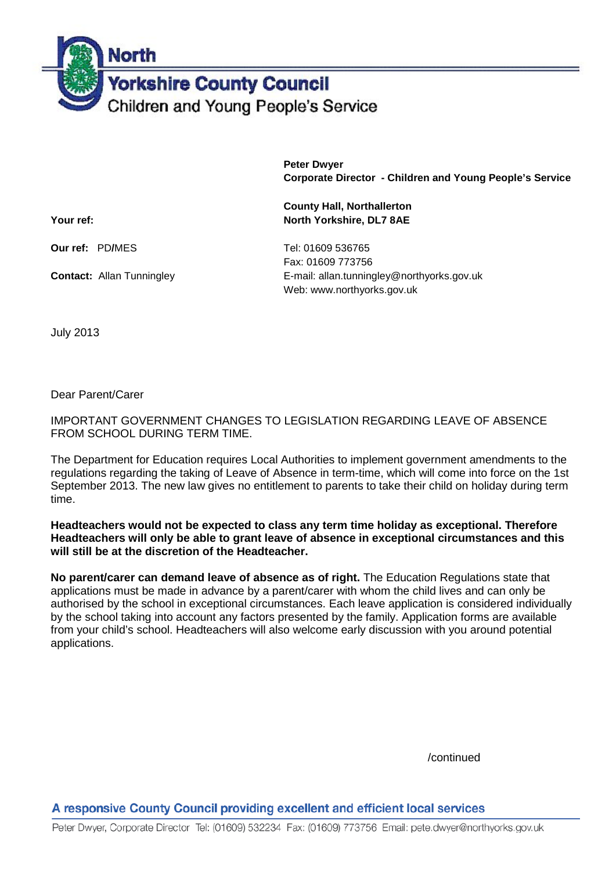**North Yorkshire County Council** Children and Young People's Service

> **Peter Dwyer Corporate Director - Children and Young People's Service**

**Your ref:** North Yorkshire, DL7 8AE

**Our ref:** PD/MES Tel: 01609 536765

Fax: 01609 773756 **Contact:** Allan Tunningley **E-mail: allan.tunningley@northyorks.gov.uk** Web: www.northyorks.gov.uk

**County Hall, Northallerton**

July 2013

Dear Parent/Carer

IMPORTANT GOVERNMENT CHANGES TO LEGISLATION REGARDING LEAVE OF ABSENCE FROM SCHOOL DURING TERM TIME.

The Department for Education requires Local Authorities to implement government amendments to the regulations regarding the taking of Leave of Absence in term-time, which will come into force on the 1st September 2013. The new law gives no entitlement to parents to take their child on holiday during term time.

**Headteachers would not be expected to class any term time holiday as exceptional. Therefore Headteachers will only be able to grant leave of absence in exceptional circumstances and this will still be at the discretion of the Headteacher.**

**No parent/carer can demand leave of absence as of right.** The Education Regulations state that applications must be made in advance by a parent/carer with whom the child lives and can only be authorised by the school in exceptional circumstances. Each leave application is considered individually by the school taking into account any factors presented by the family. Application forms are available from your child's school. Headteachers will also welcome early discussion with you around potential applications.

/continued

A responsive County Council providing excellent and efficient local services